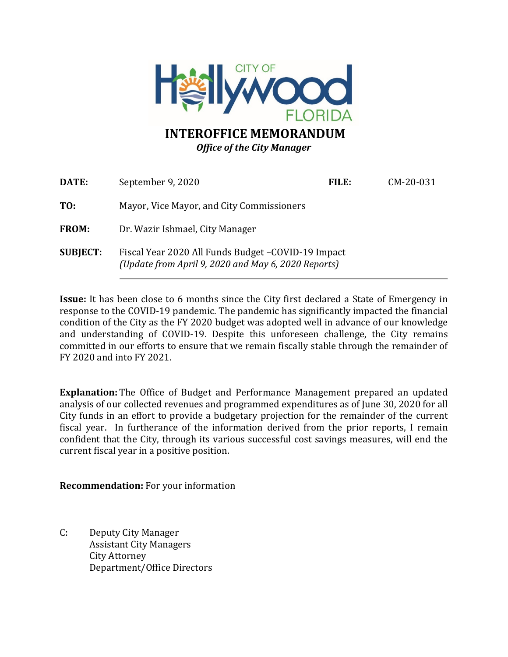

# **INTEROFFICE MEMORANDUM** *Office of the City Manager*

| DATE:           | September 9, 2020                                                                                          | FILE: | CM-20-031 |
|-----------------|------------------------------------------------------------------------------------------------------------|-------|-----------|
| TO:             | Mayor, Vice Mayor, and City Commissioners                                                                  |       |           |
| <b>FROM:</b>    | Dr. Wazir Ishmael, City Manager                                                                            |       |           |
| <b>SUBJECT:</b> | Fiscal Year 2020 All Funds Budget - COVID-19 Impact<br>(Update from April 9, 2020 and May 6, 2020 Reports) |       |           |

**Issue:** It has been close to 6 months since the City first declared a State of Emergency in response to the COVID-19 pandemic. The pandemic has significantly impacted the financial condition of the City as the FY 2020 budget was adopted well in advance of our knowledge and understanding of COVID-19. Despite this unforeseen challenge, the City remains committed in our efforts to ensure that we remain fiscally stable through the remainder of FY 2020 and into FY 2021.

**Explanation:** The Office of Budget and Performance Management prepared an updated analysis of our collected revenues and programmed expenditures as of June 30, 2020 for all City funds in an effort to provide a budgetary projection for the remainder of the current fiscal year. In furtherance of the information derived from the prior reports, I remain confident that the City, through its various successful cost savings measures, will end the current fiscal year in a positive position.

**Recommendation:** For your information

C: Deputy City Manager Assistant City Managers City Attorney Department/Office Directors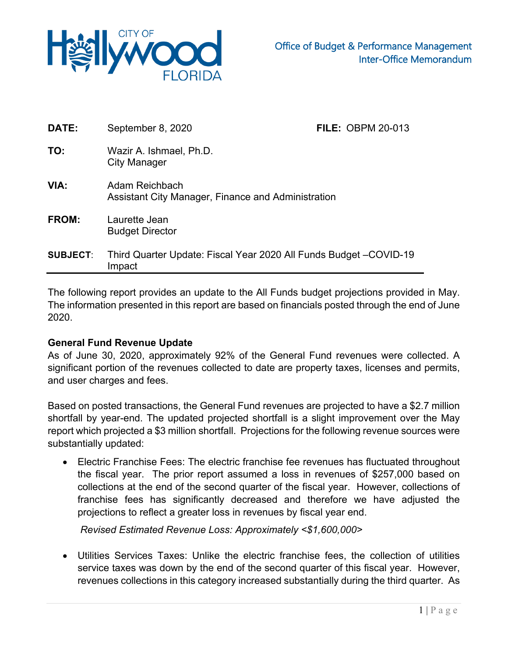

| DATE:           | September 8, 2020                                                            | <b>FILE: OBPM 20-013</b> |
|-----------------|------------------------------------------------------------------------------|--------------------------|
| TO:             | Wazir A. Ishmael, Ph.D.<br>City Manager                                      |                          |
| VIA:            | Adam Reichbach<br>Assistant City Manager, Finance and Administration         |                          |
| FROM:           | Laurette Jean<br><b>Budget Director</b>                                      |                          |
| <b>SUBJECT:</b> | Third Quarter Update: Fiscal Year 2020 All Funds Budget - COVID-19<br>Impact |                          |

The following report provides an update to the All Funds budget projections provided in May. The information presented in this report are based on financials posted through the end of June 2020.

### **General Fund Revenue Update**

As of June 30, 2020, approximately 92% of the General Fund revenues were collected. A significant portion of the revenues collected to date are property taxes, licenses and permits, and user charges and fees.

Based on posted transactions, the General Fund revenues are projected to have a \$2.7 million shortfall by year-end. The updated projected shortfall is a slight improvement over the May report which projected a \$3 million shortfall. Projections for the following revenue sources were substantially updated:

• Electric Franchise Fees: The electric franchise fee revenues has fluctuated throughout the fiscal year. The prior report assumed a loss in revenues of \$257,000 based on collections at the end of the second quarter of the fiscal year. However, collections of franchise fees has significantly decreased and therefore we have adjusted the projections to reflect a greater loss in revenues by fiscal year end.

*Revised Estimated Revenue Loss: Approximately <\$1,600,000>* 

• Utilities Services Taxes: Unlike the electric franchise fees, the collection of utilities service taxes was down by the end of the second quarter of this fiscal year. However, revenues collections in this category increased substantially during the third quarter. As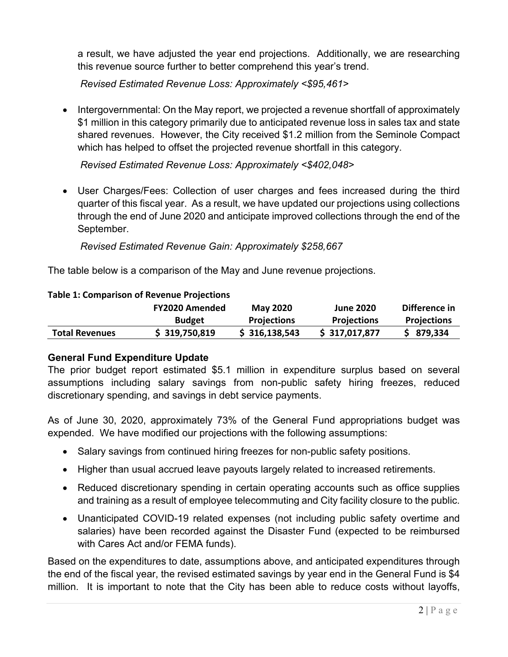a result, we have adjusted the year end projections. Additionally, we are researching this revenue source further to better comprehend this year's trend.

*Revised Estimated Revenue Loss: Approximately <\$95,461>* 

• Intergovernmental: On the May report, we projected a revenue shortfall of approximately \$1 million in this category primarily due to anticipated revenue loss in sales tax and state shared revenues. However, the City received \$1.2 million from the Seminole Compact which has helped to offset the projected revenue shortfall in this category.

*Revised Estimated Revenue Loss: Approximately <\$402,048>* 

• User Charges/Fees: Collection of user charges and fees increased during the third quarter of this fiscal year. As a result, we have updated our projections using collections through the end of June 2020 and anticipate improved collections through the end of the September.

*Revised Estimated Revenue Gain: Approximately \$258,667*

The table below is a comparison of the May and June revenue projections.

### **Table 1: Comparison of Revenue Projections**

|                       | <b>FY2020 Amended</b> | <b>May 2020</b>    | <b>June 2020</b>   | Difference in      |  |
|-----------------------|-----------------------|--------------------|--------------------|--------------------|--|
|                       | <b>Budget</b>         | <b>Projections</b> | <b>Projections</b> | <b>Projections</b> |  |
| <b>Total Revenues</b> | \$319,750,819         | \$316,138,543      | \$317,017,877      | \$879,334          |  |

## **General Fund Expenditure Update**

The prior budget report estimated \$5.1 million in expenditure surplus based on several assumptions including salary savings from non-public safety hiring freezes, reduced discretionary spending, and savings in debt service payments.

As of June 30, 2020, approximately 73% of the General Fund appropriations budget was expended. We have modified our projections with the following assumptions:

- Salary savings from continued hiring freezes for non-public safety positions.
- Higher than usual accrued leave payouts largely related to increased retirements.
- Reduced discretionary spending in certain operating accounts such as office supplies and training as a result of employee telecommuting and City facility closure to the public.
- Unanticipated COVID-19 related expenses (not including public safety overtime and salaries) have been recorded against the Disaster Fund (expected to be reimbursed with Cares Act and/or FEMA funds).

Based on the expenditures to date, assumptions above, and anticipated expenditures through the end of the fiscal year, the revised estimated savings by year end in the General Fund is \$4 million. It is important to note that the City has been able to reduce costs without layoffs,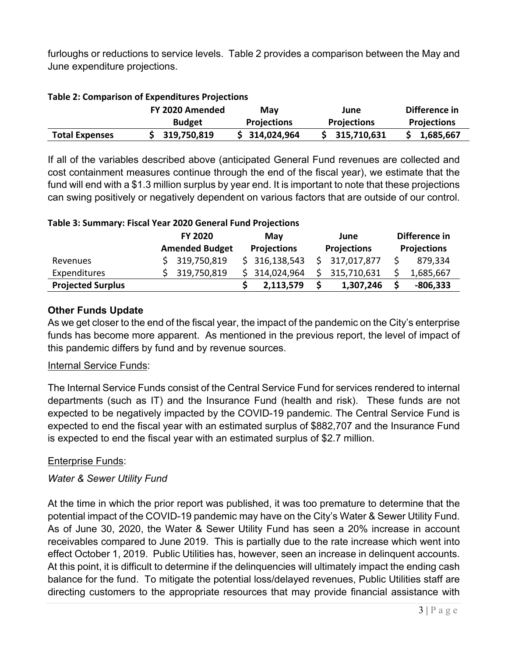furloughs or reductions to service levels. Table 2 provides a comparison between the May and June expenditure projections.

|                       | FY 2020 Amended | May                | June               | Difference in      |
|-----------------------|-----------------|--------------------|--------------------|--------------------|
|                       | <b>Budget</b>   | <b>Projections</b> | <b>Projections</b> | <b>Projections</b> |
| <b>Total Expenses</b> | \$319,750,819   | \$314,024,964      | \$315,710,631      | \$1,685,667        |

#### **Table 2: Comparison of Expenditures Projections**

If all of the variables described above (anticipated General Fund revenues are collected and cost containment measures continue through the end of the fiscal year), we estimate that the fund will end with a \$1.3 million surplus by year end. It is important to note that these projections can swing positively or negatively dependent on various factors that are outside of our control.

### **Table 3: Summary: Fiscal Year 2020 General Fund Projections**

|                          | <b>FY 2020</b><br><b>Amended Budget</b> | Mav<br><b>Projections</b> | June<br><b>Projections</b> | Difference in<br><b>Projections</b> |
|--------------------------|-----------------------------------------|---------------------------|----------------------------|-------------------------------------|
| Revenues                 | \$319,750,819                           | \$316,138,543             | \$317,017,877              | 879,334                             |
| Expenditures             | \$319,750,819                           | \$314,024,964             | 315,710,631                | 1,685,667                           |
| <b>Projected Surplus</b> |                                         | 2,113,579                 | 1,307,246                  | $-806,333$                          |

## **Other Funds Update**

As we get closer to the end of the fiscal year, the impact of the pandemic on the City's enterprise funds has become more apparent. As mentioned in the previous report, the level of impact of this pandemic differs by fund and by revenue sources.

### Internal Service Funds:

The Internal Service Funds consist of the Central Service Fund for services rendered to internal departments (such as IT) and the Insurance Fund (health and risk). These funds are not expected to be negatively impacted by the COVID-19 pandemic. The Central Service Fund is expected to end the fiscal year with an estimated surplus of \$882,707 and the Insurance Fund is expected to end the fiscal year with an estimated surplus of \$2.7 million.

### Enterprise Funds:

### *Water & Sewer Utility Fund*

At the time in which the prior report was published, it was too premature to determine that the potential impact of the COVID-19 pandemic may have on the City's Water & Sewer Utility Fund. As of June 30, 2020, the Water & Sewer Utility Fund has seen a 20% increase in account receivables compared to June 2019. This is partially due to the rate increase which went into effect October 1, 2019. Public Utilities has, however, seen an increase in delinquent accounts. At this point, it is difficult to determine if the delinquencies will ultimately impact the ending cash balance for the fund. To mitigate the potential loss/delayed revenues, Public Utilities staff are directing customers to the appropriate resources that may provide financial assistance with